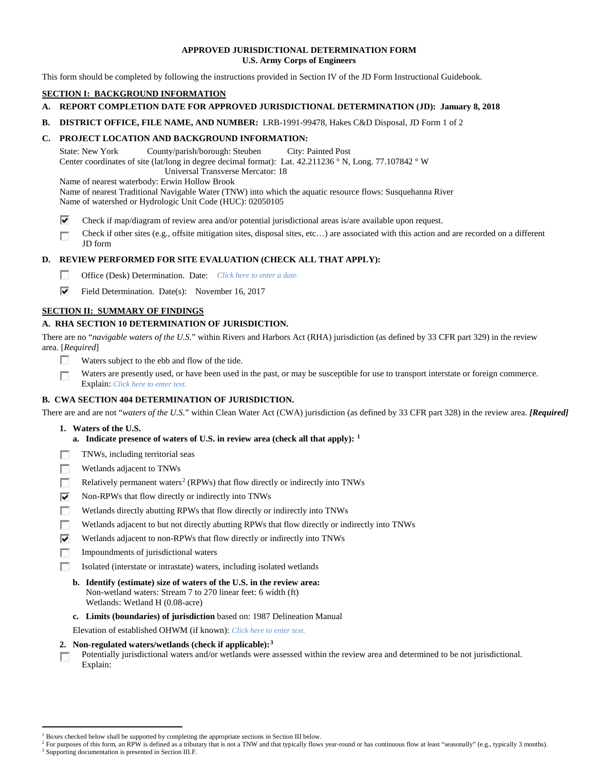# **APPROVED JURISDICTIONAL DETERMINATION FORM U.S. Army Corps of Engineers**

This form should be completed by following the instructions provided in Section IV of the JD Form Instructional Guidebook.

# **SECTION I: BACKGROUND INFORMATION**

# **A. REPORT COMPLETION DATE FOR APPROVED JURISDICTIONAL DETERMINATION (JD): January 8, 2018**

**B. DISTRICT OFFICE, FILE NAME, AND NUMBER:** LRB-1991-99478, Hakes C&D Disposal, JD Form 1 of 2

# **C. PROJECT LOCATION AND BACKGROUND INFORMATION:**

State: New York County/parish/borough: Steuben City: Painted Post Center coordinates of site (lat/long in degree decimal format): Lat. 42.211236 ° N, Long. 77.107842 ° W Universal Transverse Mercator: 18

Name of nearest waterbody: Erwin Hollow Brook

Name of nearest Traditional Navigable Water (TNW) into which the aquatic resource flows: Susquehanna River

Name of watershed or Hydrologic Unit Code (HUC): 02050105

⊽ Check if map/diagram of review area and/or potential jurisdictional areas is/are available upon request.

Check if other sites (e.g., offsite mitigation sites, disposal sites, etc…) are associated with this action and are recorded on a different г JD form

# **D. REVIEW PERFORMED FOR SITE EVALUATION (CHECK ALL THAT APPLY):**

- $\sim$ Office (Desk) Determination. Date: *Click here to enter a date.*
- ⊽ Field Determination. Date(s): November 16, 2017

# **SECTION II: SUMMARY OF FINDINGS**

# **A. RHA SECTION 10 DETERMINATION OF JURISDICTION.**

There are no "*navigable waters of the U.S.*" within Rivers and Harbors Act (RHA) jurisdiction (as defined by 33 CFR part 329) in the review area. [*Required*]

- п Waters subject to the ebb and flow of the tide.
- Waters are presently used, or have been used in the past, or may be susceptible for use to transport interstate or foreign commerce. п Explain: *Click here to enter text.*

# **B. CWA SECTION 404 DETERMINATION OF JURISDICTION.**

There are and are not "*waters of the U.S.*" within Clean Water Act (CWA) jurisdiction (as defined by 33 CFR part 328) in the review area. *[Required]*

- **1. Waters of the U.S.**
	- **a. Indicate presence of waters of U.S. in review area (check all that apply): [1](#page-0-0)**
- п TNWs, including territorial seas
- **ISB** Wetlands adjacent to TNWs
- $\sim$ Relatively permanent waters<sup>[2](#page-0-1)</sup> (RPWs) that flow directly or indirectly into TNWs
- ⊽ Non-RPWs that flow directly or indirectly into TNWs
- n Wetlands directly abutting RPWs that flow directly or indirectly into TNWs
- Wetlands adjacent to but not directly abutting RPWs that flow directly or indirectly into TNWs п
- ⊽ Wetlands adjacent to non-RPWs that flow directly or indirectly into TNWs
- $\sim$ Impoundments of jurisdictional waters
- Isolated (interstate or intrastate) waters, including isolated wetlands E.
	- **b. Identify (estimate) size of waters of the U.S. in the review area:** Non-wetland waters: Stream 7 to 270 linear feet: 6 width (ft) Wetlands: Wetland H (0.08-acre)
	- **c. Limits (boundaries) of jurisdiction** based on: 1987 Delineation Manual

Elevation of established OHWM (if known): *Click here to enter text.*

- **2. Non-regulated waters/wetlands (check if applicable):[3](#page-0-2)**
- Potentially jurisdictional waters and/or wetlands were assessed within the review area and determined to be not jurisdictional. п Explain:

<sup>&</sup>lt;sup>1</sup> Boxes checked below shall be supported by completing the appropriate sections in Section III below.

<span id="page-0-2"></span><span id="page-0-1"></span><span id="page-0-0"></span>For purposes of this form, an RPW is defined as a tributary that is not a TNW and that typically flows year-round or has continuous flow at least "seasonally" (e.g., typically 3 months). <sup>3</sup> Supporting documentation is presented in Section III.F.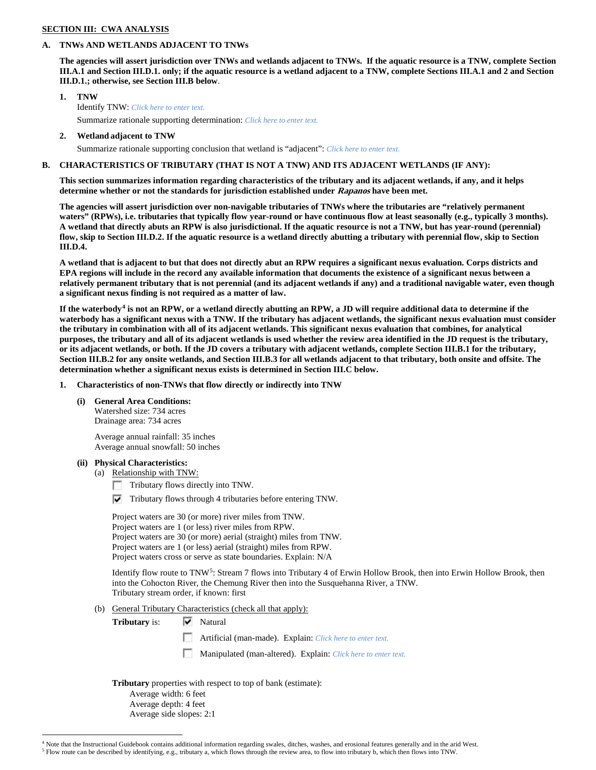### **SECTION III: CWA ANALYSIS**

### **A. TNWs AND WETLANDS ADJACENT TO TNWs**

**The agencies will assert jurisdiction over TNWs and wetlands adjacent to TNWs. If the aquatic resource is a TNW, complete Section III.A.1 and Section III.D.1. only; if the aquatic resource is a wetland adjacent to a TNW, complete Sections III.A.1 and 2 and Section III.D.1.; otherwise, see Section III.B below**.

**1. TNW** 

Identify TNW: *Click here to enter text.*

Summarize rationale supporting determination: *Click here to enter text.*

### **2. Wetland adjacent to TNW**

Summarize rationale supporting conclusion that wetland is "adjacent": *Click here to enter text.*

# **B. CHARACTERISTICS OF TRIBUTARY (THAT IS NOT A TNW) AND ITS ADJACENT WETLANDS (IF ANY):**

**This section summarizes information regarding characteristics of the tributary and its adjacent wetlands, if any, and it helps determine whether or not the standards for jurisdiction established under Rapanos have been met.** 

**The agencies will assert jurisdiction over non-navigable tributaries of TNWs where the tributaries are "relatively permanent waters" (RPWs), i.e. tributaries that typically flow year-round or have continuous flow at least seasonally (e.g., typically 3 months). A wetland that directly abuts an RPW is also jurisdictional. If the aquatic resource is not a TNW, but has year-round (perennial) flow, skip to Section III.D.2. If the aquatic resource is a wetland directly abutting a tributary with perennial flow, skip to Section III.D.4.**

**A wetland that is adjacent to but that does not directly abut an RPW requires a significant nexus evaluation. Corps districts and EPA regions will include in the record any available information that documents the existence of a significant nexus between a relatively permanent tributary that is not perennial (and its adjacent wetlands if any) and a traditional navigable water, even though a significant nexus finding is not required as a matter of law.**

**If the waterbody[4](#page-1-0) is not an RPW, or a wetland directly abutting an RPW, a JD will require additional data to determine if the waterbody has a significant nexus with a TNW. If the tributary has adjacent wetlands, the significant nexus evaluation must consider the tributary in combination with all of its adjacent wetlands. This significant nexus evaluation that combines, for analytical purposes, the tributary and all of its adjacent wetlands is used whether the review area identified in the JD request is the tributary, or its adjacent wetlands, or both. If the JD covers a tributary with adjacent wetlands, complete Section III.B.1 for the tributary, Section III.B.2 for any onsite wetlands, and Section III.B.3 for all wetlands adjacent to that tributary, both onsite and offsite. The determination whether a significant nexus exists is determined in Section III.C below.**

# **1. Characteristics of non-TNWs that flow directly or indirectly into TNW**

**(i) General Area Conditions:** Watershed size: 734 acres

Drainage area: 734 acres

Average annual rainfall: 35 inches Average annual snowfall: 50 inches

# **(ii) Physical Characteristics:**

(a) Relationship with TNW:

- Tributary flows directly into TNW.
- $\triangledown$  Tributary flows through 4 tributaries before entering TNW.

Project waters are 30 (or more) river miles from TNW. Project waters are 1 (or less) river miles from RPW. Project waters are 30 (or more) aerial (straight) miles from TNW. Project waters are 1 (or less) aerial (straight) miles from RPW. Project waters cross or serve as state boundaries. Explain: N/A

Identify flow route to TNW[5:](#page-1-1) Stream 7 flows into Tributary 4 of Erwin Hollow Brook, then into Erwin Hollow Brook, then into the Cohocton River, the Chemung River then into the Susquehanna River, a TNW. Tributary stream order, if known: first

(b) General Tributary Characteristics (check all that apply):

**Tributary is:**  $\overline{\mathbf{V}}$  Natural

Artificial (man-made). Explain: *Click here to enter text.*

Manipulated (man-altered). Explain: *Click here to enter text.*

**Tributary** properties with respect to top of bank (estimate):

Average width: 6 feet Average depth: 4 feet Average side slopes: 2:1

<span id="page-1-1"></span><span id="page-1-0"></span> <sup>4</sup> Note that the Instructional Guidebook contains additional information regarding swales, ditches, washes, and erosional features generally and in the arid West.

<sup>5</sup> Flow route can be described by identifying, e.g., tributary a, which flows through the review area, to flow into tributary b, which then flows into TNW.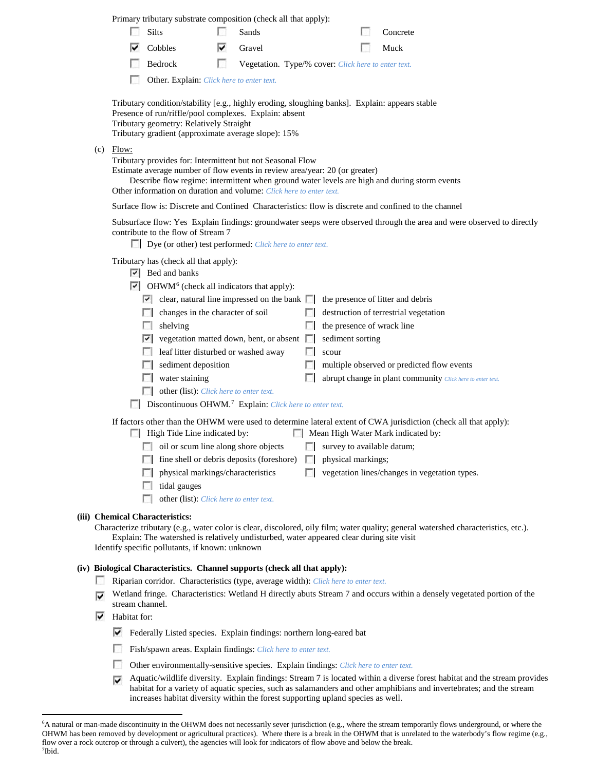Primary tributary substrate composition (check all that apply):

| $\Box$ Silts                       | Sands                   | Concrete    |
|------------------------------------|-------------------------|-------------|
| $\overline{\triangledown}$ Cobbles | $\triangleright$ Gravel | $\Box$ Muck |

- П Bedrock Vegetation. Type/% cover: *Click here to enter text.*
- Other. Explain: *Click here to enter text.*

Tributary condition/stability [e.g., highly eroding, sloughing banks]. Explain: appears stable Presence of run/riffle/pool complexes. Explain: absent Tributary geometry: Relatively Straight Tributary gradient (approximate average slope): 15%

 $(c)$  Flow:

Tributary provides for: Intermittent but not Seasonal Flow

Estimate average number of flow events in review area/year: 20 (or greater)

Describe flow regime: intermittent when ground water levels are high and during storm events Other information on duration and volume: *Click here to enter text.*

Surface flow is: Discrete and Confined Characteristics: flow is discrete and confined to the channel

Subsurface flow: Yes Explain findings: groundwater seeps were observed through the area and were observed to directly contribute to the flow of Stream 7

Dye (or other) test performed: *Click here to enter text.*

Tributary has (check all that apply):

- $\triangleright$  Bed and banks
- $\triangleright$  OHWM<sup>[6](#page-2-0)</sup> (check all indicators that apply):

| M                                                                                                                                                                                                                                                            | clear, natural line impressed on the bank $\Box$ the presence of litter and debris |  |                                                            |  |  |  |  |
|--------------------------------------------------------------------------------------------------------------------------------------------------------------------------------------------------------------------------------------------------------------|------------------------------------------------------------------------------------|--|------------------------------------------------------------|--|--|--|--|
|                                                                                                                                                                                                                                                              | changes in the character of soil                                                   |  | destruction of terrestrial vegetation                      |  |  |  |  |
|                                                                                                                                                                                                                                                              | shelving                                                                           |  | the presence of wrack line                                 |  |  |  |  |
| M                                                                                                                                                                                                                                                            | vegetation matted down, bent, or absent $\Box$                                     |  | sediment sorting                                           |  |  |  |  |
|                                                                                                                                                                                                                                                              | leaf litter disturbed or washed away                                               |  | scour                                                      |  |  |  |  |
|                                                                                                                                                                                                                                                              | sediment deposition                                                                |  | multiple observed or predicted flow events                 |  |  |  |  |
|                                                                                                                                                                                                                                                              | water staining                                                                     |  | abrupt change in plant community Click here to enter text. |  |  |  |  |
|                                                                                                                                                                                                                                                              | <b>other (list):</b> <i>Click here to enter text.</i>                              |  |                                                            |  |  |  |  |
| Discontinuous OHWM. <sup>7</sup> Explain: Click here to enter text.<br>L.                                                                                                                                                                                    |                                                                                    |  |                                                            |  |  |  |  |
| If factors other than the OHWM were used to determine lateral extent of CWA jurisdiction (check all that apply):<br>Mean High Water Mark indicated by:<br>High Tide Line indicated by:<br>oil or scum line along shore objects<br>survey to available datum; |                                                                                    |  |                                                            |  |  |  |  |
|                                                                                                                                                                                                                                                              |                                                                                    |  |                                                            |  |  |  |  |

- $\Box$  fine shell or debris deposits (foreshore)  $\Box$  physical markings;
- **physical markings/characteristics**  $\Box$  vegetation lines/changes in vegetation types.
- $\Box$  tidal gauges
- other (list): *Click here to enter text.*

### **(iii) Chemical Characteristics:**

Characterize tributary (e.g., water color is clear, discolored, oily film; water quality; general watershed characteristics, etc.). Explain: The watershed is relatively undisturbed, water appeared clear during site visit

Identify specific pollutants, if known: unknown

## **(iv) Biological Characteristics. Channel supports (check all that apply):**

- Riparian corridor. Characteristics (type, average width): *Click here to enter text.*
- Wetland fringe. Characteristics: Wetland H directly abuts Stream 7 and occurs within a densely vegetated portion of the ⊽ stream channel.
- $\blacktriangleright$  Habitat for:
	- Federally Listed species. Explain findings: northern long-eared bat
	- **District** Fish/spawn areas. Explain findings: *Click here to enter text.*
	- $\mathcal{L}_{\mathcal{L}}$ Other environmentally-sensitive species. Explain findings: *Click here to enter text.*
	- $\blacktriangleright$  Aquatic/wildlife diversity. Explain findings: Stream 7 is located within a diverse forest habitat and the stream provides habitat for a variety of aquatic species, such as salamanders and other amphibians and invertebrates; and the stream increases habitat diversity within the forest supporting upland species as well.

<span id="page-2-1"></span><span id="page-2-0"></span> <sup>6</sup> <sup>6</sup>A natural or man-made discontinuity in the OHWM does not necessarily sever jurisdiction (e.g., where the stream temporarily flows underground, or where the OHWM has been removed by development or agricultural practices). Where there is a break in the OHWM that is unrelated to the waterbody's flow regime (e.g., flow over a rock outcrop or through a culvert), the agencies will look for indicators of flow above and below the break. 7 Ibid.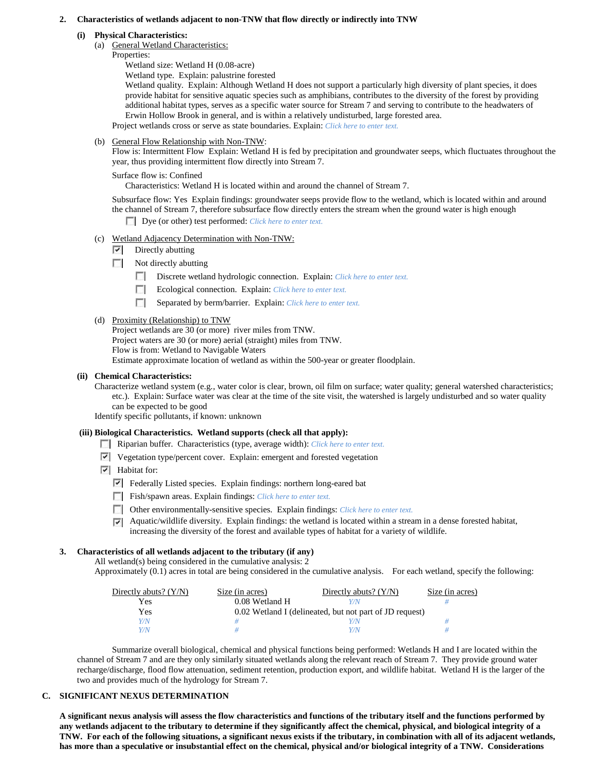### **2. Characteristics of wetlands adjacent to non-TNW that flow directly or indirectly into TNW**

### **(i) Physical Characteristics:**

- (a) General Wetland Characteristics:
	- Properties:

Wetland size: Wetland H (0.08-acre) Wetland type. Explain: palustrine forested

Wetland quality. Explain: Although Wetland H does not support a particularly high diversity of plant species, it does provide habitat for sensitive aquatic species such as amphibians, contributes to the diversity of the forest by providing additional habitat types, serves as a specific water source for Stream 7 and serving to contribute to the headwaters of Erwin Hollow Brook in general, and is within a relatively undisturbed, large forested area.

Project wetlands cross or serve as state boundaries. Explain: *Click here to enter text.*

(b) General Flow Relationship with Non-TNW:

Flow is: Intermittent Flow Explain: Wetland H is fed by precipitation and groundwater seeps, which fluctuates throughout the year, thus providing intermittent flow directly into Stream 7.

Surface flow is: Confined

Characteristics: Wetland H is located within and around the channel of Stream 7.

Subsurface flow: Yes Explain findings: groundwater seeps provide flow to the wetland, which is located within and around the channel of Stream 7, therefore subsurface flow directly enters the stream when the ground water is high enough

Dye (or other) test performed: *Click here to enter text.*

- (c) Wetland Adjacency Determination with Non-TNW:
	- $\triangledown$  Directly abutting
	- $\mathcal{L}$ Not directly abutting
		- Discrete wetland hydrologic connection. Explain: *Click here to enter text*.
		- n. Ecological connection. Explain: *Click here to enter text.*
		- Separated by berm/barrier. Explain: *Click here to enter text.*
- (d) Proximity (Relationship) to TNW

Project wetlands are 30 (or more) river miles from TNW. Project waters are 30 (or more) aerial (straight) miles from TNW. Flow is from: Wetland to Navigable Waters Estimate approximate location of wetland as within the 500-year or greater floodplain.

### **(ii) Chemical Characteristics:**

Characterize wetland system (e.g., water color is clear, brown, oil film on surface; water quality; general watershed characteristics; etc.). Explain: Surface water was clear at the time of the site visit, the watershed is largely undisturbed and so water quality can be expected to be good

Identify specific pollutants, if known: unknown

### **(iii) Biological Characteristics. Wetland supports (check all that apply):**

- Riparian buffer. Characteristics (type, average width): *Click here to enter text.*
- Vegetation type/percent cover. Explain: emergent and forested vegetation
- $\boxed{\checkmark}$  Habitat for:
	- Federally Listed species. Explain findings: northern long-eared bat
	- Fish/spawn areas. Explain findings: *Click here to enter text.*
	- Other environmentally-sensitive species. Explain findings: *Click here to enter text.*
	- $\nabla$  Aquatic/wildlife diversity. Explain findings: the wetland is located within a stream in a dense forested habitat, increasing the diversity of the forest and available types of habitat for a variety of wildlife.

### **3. Characteristics of all wetlands adjacent to the tributary (if any)**

All wetland(s) being considered in the cumulative analysis: 2

Approximately (0.1) acres in total are being considered in the cumulative analysis. For each wetland, specify the following:

| Directly abuts? $(Y/N)$ | Size (in acres) | Directly abuts? $(Y/N)$                                 | Size (in acres) |
|-------------------------|-----------------|---------------------------------------------------------|-----------------|
| Yes                     | 0.08 Wetland H  | Y/N                                                     |                 |
| Yes                     |                 | 0.02 Wetland I (delineated, but not part of JD request) |                 |
| Y/N                     |                 | Y/N                                                     |                 |
| Y/N                     |                 | Y/N                                                     |                 |

Summarize overall biological, chemical and physical functions being performed: Wetlands H and I are located within the channel of Stream 7 and are they only similarly situated wetlands along the relevant reach of Stream 7. They provide ground water recharge/discharge, flood flow attenuation, sediment retention, production export, and wildlife habitat. Wetland H is the larger of the two and provides much of the hydrology for Stream 7.

### **C. SIGNIFICANT NEXUS DETERMINATION**

**A significant nexus analysis will assess the flow characteristics and functions of the tributary itself and the functions performed by any wetlands adjacent to the tributary to determine if they significantly affect the chemical, physical, and biological integrity of a TNW. For each of the following situations, a significant nexus exists if the tributary, in combination with all of its adjacent wetlands, has more than a speculative or insubstantial effect on the chemical, physical and/or biological integrity of a TNW. Considerations**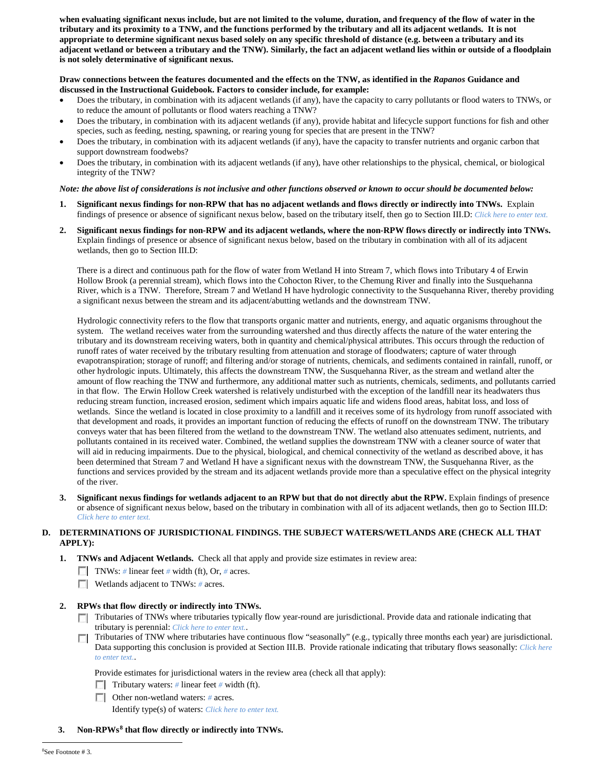**when evaluating significant nexus include, but are not limited to the volume, duration, and frequency of the flow of water in the tributary and its proximity to a TNW, and the functions performed by the tributary and all its adjacent wetlands. It is not appropriate to determine significant nexus based solely on any specific threshold of distance (e.g. between a tributary and its adjacent wetland or between a tributary and the TNW). Similarly, the fact an adjacent wetland lies within or outside of a floodplain is not solely determinative of significant nexus.** 

# **Draw connections between the features documented and the effects on the TNW, as identified in the** *Rapanos* **Guidance and discussed in the Instructional Guidebook. Factors to consider include, for example:**

- Does the tributary, in combination with its adjacent wetlands (if any), have the capacity to carry pollutants or flood waters to TNWs, or to reduce the amount of pollutants or flood waters reaching a TNW?
- Does the tributary, in combination with its adjacent wetlands (if any), provide habitat and lifecycle support functions for fish and other species, such as feeding, nesting, spawning, or rearing young for species that are present in the TNW?
- Does the tributary, in combination with its adjacent wetlands (if any), have the capacity to transfer nutrients and organic carbon that support downstream foodwebs?
- Does the tributary, in combination with its adjacent wetlands (if any), have other relationships to the physical, chemical, or biological integrity of the TNW?

## *Note: the above list of considerations is not inclusive and other functions observed or known to occur should be documented below:*

- **1. Significant nexus findings for non-RPW that has no adjacent wetlands and flows directly or indirectly into TNWs.** Explain findings of presence or absence of significant nexus below, based on the tributary itself, then go to Section III.D: *Click here to enter text.*
- **2. Significant nexus findings for non-RPW and its adjacent wetlands, where the non-RPW flows directly or indirectly into TNWs.**  Explain findings of presence or absence of significant nexus below, based on the tributary in combination with all of its adjacent wetlands, then go to Section III.D:

There is a direct and continuous path for the flow of water from Wetland H into Stream 7, which flows into Tributary 4 of Erwin Hollow Brook (a perennial stream), which flows into the Cohocton River, to the Chemung River and finally into the Susquehanna River, which is a TNW. Therefore, Stream 7 and Wetland H have hydrologic connectivity to the Susquehanna River, thereby providing a significant nexus between the stream and its adjacent/abutting wetlands and the downstream TNW.

Hydrologic connectivity refers to the flow that transports organic matter and nutrients, energy, and aquatic organisms throughout the system. The wetland receives water from the surrounding watershed and thus directly affects the nature of the water entering the tributary and its downstream receiving waters, both in quantity and chemical/physical attributes. This occurs through the reduction of runoff rates of water received by the tributary resulting from attenuation and storage of floodwaters; capture of water through evapotranspiration; storage of runoff; and filtering and/or storage of nutrients, chemicals, and sediments contained in rainfall, runoff, or other hydrologic inputs. Ultimately, this affects the downstream TNW, the Susquehanna River, as the stream and wetland alter the amount of flow reaching the TNW and furthermore, any additional matter such as nutrients, chemicals, sediments, and pollutants carried in that flow. The Erwin Hollow Creek watershed is relatively undisturbed with the exception of the landfill near its headwaters thus reducing stream function, increased erosion, sediment which impairs aquatic life and widens flood areas, habitat loss, and loss of wetlands. Since the wetland is located in close proximity to a landfill and it receives some of its hydrology from runoff associated with that development and roads, it provides an important function of reducing the effects of runoff on the downstream TNW. The tributary conveys water that has been filtered from the wetland to the downstream TNW. The wetland also attenuates sediment, nutrients, and pollutants contained in its received water. Combined, the wetland supplies the downstream TNW with a cleaner source of water that will aid in reducing impairments. Due to the physical, biological, and chemical connectivity of the wetland as described above, it has been determined that Stream 7 and Wetland H have a significant nexus with the downstream TNW, the Susquehanna River, as the functions and services provided by the stream and its adjacent wetlands provide more than a speculative effect on the physical integrity of the river.

**3. Significant nexus findings for wetlands adjacent to an RPW but that do not directly abut the RPW.** Explain findings of presence or absence of significant nexus below, based on the tributary in combination with all of its adjacent wetlands, then go to Section III.D: *Click here to enter text.*

## **D. DETERMINATIONS OF JURISDICTIONAL FINDINGS. THE SUBJECT WATERS/WETLANDS ARE (CHECK ALL THAT APPLY):**

**1. TNWs and Adjacent Wetlands.** Check all that apply and provide size estimates in review area:

- TNWs: *#* linear feet *#* width (ft), Or, *#* acres.
- **Wetlands adjacent to TNWs: # acres.**
- **2. RPWs that flow directly or indirectly into TNWs.**
	- Tributaries of TNWs where tributaries typically flow year-round are jurisdictional. Provide data and rationale indicating that tributary is perennial: *Click here to enter text.*.
	- Tributaries of TNW where tributaries have continuous flow "seasonally" (e.g., typically three months each year) are jurisdictional. Data supporting this conclusion is provided at Section III.B. Provide rationale indicating that tributary flows seasonally: *Click here to enter text.*.

Provide estimates for jurisdictional waters in the review area (check all that apply):

- Tributary waters: # linear feet # width (ft).
- Other non-wetland waters: *#* acres.

Identify type(s) of waters: *Click here to enter text.*

<span id="page-4-0"></span> **3. Non-RPWs[8](#page-4-0) that flow directly or indirectly into TNWs.**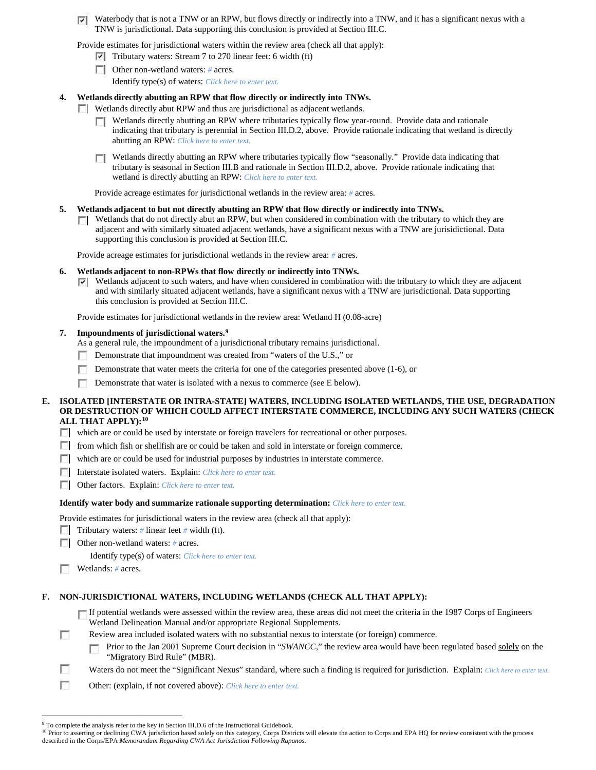Waterbody that is not a TNW or an RPW, but flows directly or indirectly into a TNW, and it has a significant nexus with a ⊡ TNW is jurisdictional. Data supporting this conclusion is provided at Section III.C.

Provide estimates for jurisdictional waters within the review area (check all that apply):

- $\triangledown$  Tributary waters: Stream 7 to 270 linear feet: 6 width (ft)
- Other non-wetland waters: *#* acres.

Identify type(s) of waters: *Click here to enter text.*

### **4. Wetlands directly abutting an RPW that flow directly or indirectly into TNWs.**

- Wetlands directly abut RPW and thus are jurisdictional as adjacent wetlands.
	- Wetlands directly abutting an RPW where tributaries typically flow year-round. Provide data and rationale **TT** indicating that tributary is perennial in Section III.D.2, above. Provide rationale indicating that wetland is directly abutting an RPW: *Click here to enter text.*
	- Wetlands directly abutting an RPW where tributaries typically flow "seasonally." Provide data indicating that tributary is seasonal in Section III.B and rationale in Section III.D.2, above. Provide rationale indicating that wetland is directly abutting an RPW: *Click here to enter text.*

Provide acreage estimates for jurisdictional wetlands in the review area: *#* acres.

### **5. Wetlands adjacent to but not directly abutting an RPW that flow directly or indirectly into TNWs.**

Wetlands that do not directly abut an RPW, but when considered in combination with the tributary to which they are Г. adjacent and with similarly situated adjacent wetlands, have a significant nexus with a TNW are jurisidictional. Data supporting this conclusion is provided at Section III.C.

Provide acreage estimates for jurisdictional wetlands in the review area: *#* acres.

#### **6. Wetlands adjacent to non-RPWs that flow directly or indirectly into TNWs.**

 $\triangledown$  Wetlands adjacent to such waters, and have when considered in combination with the tributary to which they are adjacent and with similarly situated adjacent wetlands, have a significant nexus with a TNW are jurisdictional. Data supporting this conclusion is provided at Section III.C.

Provide estimates for jurisdictional wetlands in the review area: Wetland H (0.08-acre)

### **7. Impoundments of jurisdictional waters. [9](#page-5-0)**

As a general rule, the impoundment of a jurisdictional tributary remains jurisdictional.

- Demonstrate that impoundment was created from "waters of the U.S.," or  $\sim$
- m Demonstrate that water meets the criteria for one of the categories presented above (1-6), or
- m. Demonstrate that water is isolated with a nexus to commerce (see E below).

### **E. ISOLATED [INTERSTATE OR INTRA-STATE] WATERS, INCLUDING ISOLATED WETLANDS, THE USE, DEGRADATION OR DESTRUCTION OF WHICH COULD AFFECT INTERSTATE COMMERCE, INCLUDING ANY SUCH WATERS (CHECK ALL THAT APPLY):[10](#page-5-1)**

- which are or could be used by interstate or foreign travelers for recreational or other purposes.
- from which fish or shellfish are or could be taken and sold in interstate or foreign commerce.
- which are or could be used for industrial purposes by industries in interstate commerce.
- Interstate isolated waters.Explain: *Click here to enter text.*
- Other factors.Explain: *Click here to enter text.*

### **Identify water body and summarize rationale supporting determination:** *Click here to enter text.*

Provide estimates for jurisdictional waters in the review area (check all that apply):

- Tributary waters: # linear feet # width (ft).
- Other non-wetland waters: *#* acres.

Identify type(s) of waters: *Click here to enter text.*

Wetlands: # acres.

**In** 

n Ð

### **F. NON-JURISDICTIONAL WATERS, INCLUDING WETLANDS (CHECK ALL THAT APPLY):**

- If potential wetlands were assessed within the review area, these areas did not meet the criteria in the 1987 Corps of Engineers Wetland Delineation Manual and/or appropriate Regional Supplements.
- Review area included isolated waters with no substantial nexus to interstate (or foreign) commerce.
	- Prior to the Jan 2001 Supreme Court decision in "*SWANCC*," the review area would have been regulated based solely on the п "Migratory Bird Rule" (MBR).

Waters do not meet the "Significant Nexus" standard, where such a finding is required for jurisdiction. Explain: *Click here to enter text.* 

Other: (explain, if not covered above): *Click here to enter text.*

<sup>&</sup>lt;sup>9</sup> To complete the analysis refer to the key in Section III.D.6 of the Instructional Guidebook.

<span id="page-5-1"></span><span id="page-5-0"></span><sup>&</sup>lt;sup>10</sup> Prior to asserting or declining CWA jurisdiction based solely on this category, Corps Districts will elevate the action to Corps and EPA HQ for review consistent with the process described in the Corps/EPA *Memorandum Regarding CWA Act Jurisdiction Following Rapanos.*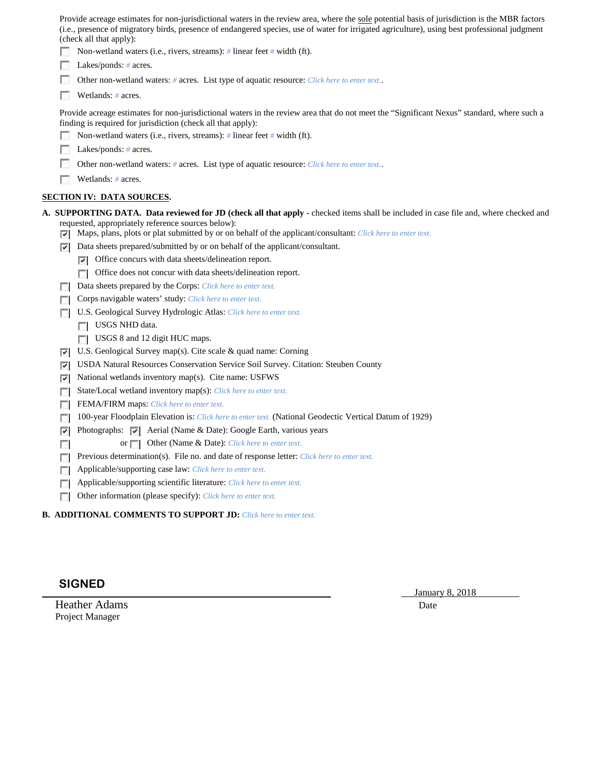| Provide acreage estimates for non-jurisdictional waters in the review area, where the sole potential basis of jurisdiction is the MBR factors |
|-----------------------------------------------------------------------------------------------------------------------------------------------|
| (i.e., presence of migratory birds, presence of endangered species, use of water for irrigated agriculture), using best professional judgment |
| (check all that apply):                                                                                                                       |

- Non-wetland waters (i.e., rivers, streams): *#* linear feet *#* width (ft).
- Lakes/ponds: # acres.
- Г Other non-wetland waters: *#* acres. List type of aquatic resource: *Click here to enter text.*.
- $\sim$ Wetlands: *#* acres.

Provide acreage estimates for non-jurisdictional waters in the review area that do not meet the "Significant Nexus" standard, where such a finding is required for jurisdiction (check all that apply):

- Non-wetland waters (i.e., rivers, streams): *#* linear feet *#* width (ft).
- Lakes/ponds: *#* acres.
- Other non-wetland waters: # acres. List type of aquatic resource: *Click here to enter text.*.
- Wetlands: # acres.

# **SECTION IV: DATA SOURCES.**

**A. SUPPORTING DATA. Data reviewed for JD (check all that apply -** checked items shall be included in case file and, where checked and requested, appropriately reference sources below):

- Maps, plans, plots or plat submitted by or on behalf of the applicant/consultant: *Click here to enter text.*
- Data sheets prepared/submitted by or on behalf of the applicant/consultant.
	- $\nabla$  Office concurs with data sheets/delineation report.
	- Office does not concur with data sheets/delineation report.
- Data sheets prepared by the Corps: *Click here to enter text.*
- Corps navigable waters' study: *Click here to enter text.*
- U.S. Geological Survey Hydrologic Atlas: *Click here to enter text.*
	- USGS NHD data.
	- USGS 8 and 12 digit HUC maps.
- U.S. Geological Survey map(s). Cite scale & quad name: Corning
- USDA Natural Resources Conservation Service Soil Survey. Citation: Steuben County
- $\triangledown$  National wetlands inventory map(s). Cite name: USFWS
- State/Local wetland inventory map(s): *Click here to enter text.*
- FEMA/FIRM maps: *Click here to enter text.*
- 100-year Floodplain Elevation is: *Click here to enter text.* (National Geodectic Vertical Datum of 1929)
- $\triangleright$  Photographs:  $\triangleright$  Aerial (Name & Date): Google Earth, various years
	- or **Other (Name & Date):** *Click here to enter text.*
- **Previous determination(s). File no. and date of response letter:** *Click here to enter text.*
- Applicable/supporting case law: *Click here to enter text.*
- Applicable/supporting scientific literature: *Click here to enter text.*
- Other information (please specify): *Click here to enter text.*
- **B. ADDITIONAL COMMENTS TO SUPPORT JD:** *Click here to enter text.*

# **SIGNED**

 $\sim$ 

Heather Adams Date **Date** Project Manager

January 8, 2018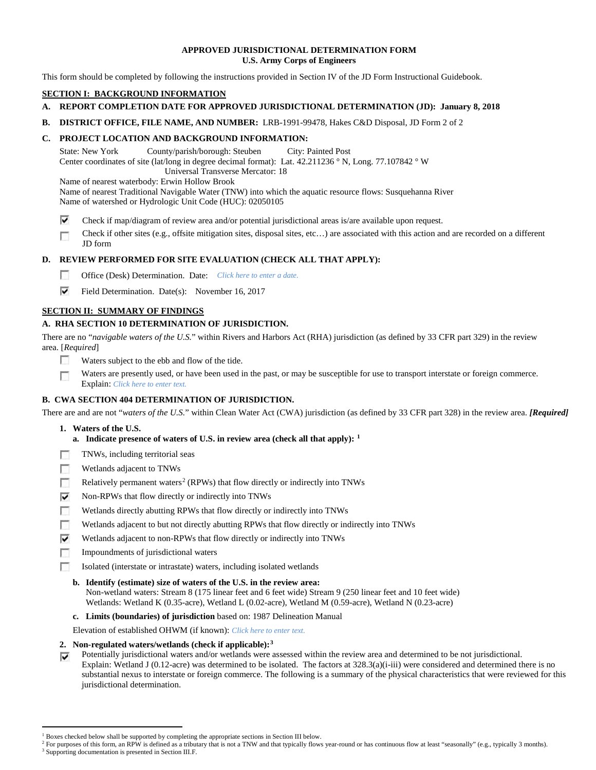# **APPROVED JURISDICTIONAL DETERMINATION FORM U.S. Army Corps of Engineers**

This form should be completed by following the instructions provided in Section IV of the JD Form Instructional Guidebook.

# **SECTION I: BACKGROUND INFORMATION**

# **A. REPORT COMPLETION DATE FOR APPROVED JURISDICTIONAL DETERMINATION (JD): January 8, 2018**

**B. DISTRICT OFFICE, FILE NAME, AND NUMBER:** LRB-1991-99478, Hakes C&D Disposal, JD Form 2 of 2

# **C. PROJECT LOCATION AND BACKGROUND INFORMATION:**

State: New York County/parish/borough: Steuben City: Painted Post Center coordinates of site (lat/long in degree decimal format): Lat. 42.211236 ° N, Long. 77.107842 ° W Universal Transverse Mercator: 18

Name of nearest waterbody: Erwin Hollow Brook

Name of nearest Traditional Navigable Water (TNW) into which the aquatic resource flows: Susquehanna River

Name of watershed or Hydrologic Unit Code (HUC): 02050105

⊽ Check if map/diagram of review area and/or potential jurisdictional areas is/are available upon request.

Check if other sites (e.g., offsite mitigation sites, disposal sites, etc…) are associated with this action and are recorded on a different г JD form

# **D. REVIEW PERFORMED FOR SITE EVALUATION (CHECK ALL THAT APPLY):**

- $\sim$ Office (Desk) Determination. Date: *Click here to enter a date.*
- ⊽ Field Determination. Date(s): November 16, 2017

# **SECTION II: SUMMARY OF FINDINGS**

# **A. RHA SECTION 10 DETERMINATION OF JURISDICTION.**

There are no "*navigable waters of the U.S.*" within Rivers and Harbors Act (RHA) jurisdiction (as defined by 33 CFR part 329) in the review area. [*Required*]

- п Waters subject to the ebb and flow of the tide.
- Waters are presently used, or have been used in the past, or may be susceptible for use to transport interstate or foreign commerce. п Explain: *Click here to enter text.*

# **B. CWA SECTION 404 DETERMINATION OF JURISDICTION.**

There are and are not "*waters of the U.S.*" within Clean Water Act (CWA) jurisdiction (as defined by 33 CFR part 328) in the review area. *[Required]*

- **1. Waters of the U.S.**
	- **a. Indicate presence of waters of U.S. in review area (check all that apply): [1](#page-7-0)**
- п TNWs, including territorial seas
- T. Wetlands adjacent to TNWs
- T. Relatively permanent waters<sup>[2](#page-7-1)</sup> (RPWs) that flow directly or indirectly into TNWs
- ⊽ Non-RPWs that flow directly or indirectly into TNWs
- n Wetlands directly abutting RPWs that flow directly or indirectly into TNWs
- Wetlands adjacent to but not directly abutting RPWs that flow directly or indirectly into TNWs п
- ⊽ Wetlands adjacent to non-RPWs that flow directly or indirectly into TNWs
- $\sim$ Impoundments of jurisdictional waters
- Isolated (interstate or intrastate) waters, including isolated wetlands п
	- **b. Identify (estimate) size of waters of the U.S. in the review area:** Non-wetland waters: Stream 8 (175 linear feet and 6 feet wide) Stream 9 (250 linear feet and 10 feet wide) Wetlands: Wetland K (0.35-acre), Wetland L (0.02-acre), Wetland M (0.59-acre), Wetland N (0.23-acre)
	- **c. Limits (boundaries) of jurisdiction** based on: 1987 Delineation Manual

Elevation of established OHWM (if known): *Click here to enter text.*

- **2. Non-regulated waters/wetlands (check if applicable):[3](#page-7-2)**
- Potentially jurisdictional waters and/or wetlands were assessed within the review area and determined to be not jurisdictional. ⊽ Explain: Wetland J (0.12-acre) was determined to be isolated. The factors at 328.3(a)(i-iii) were considered and determined there is no substantial nexus to interstate or foreign commerce. The following is a summary of the physical characteristics that were reviewed for this jurisdictional determination.

<sup>&</sup>lt;sup>1</sup> Boxes checked below shall be supported by completing the appropriate sections in Section III below.

<span id="page-7-2"></span><span id="page-7-1"></span><span id="page-7-0"></span>For purposes of this form, an RPW is defined as a tributary that is not a TNW and that typically flows year-round or has continuous flow at least "seasonally" (e.g., typically 3 months). <sup>3</sup> Supporting documentation is presented in Section III.F.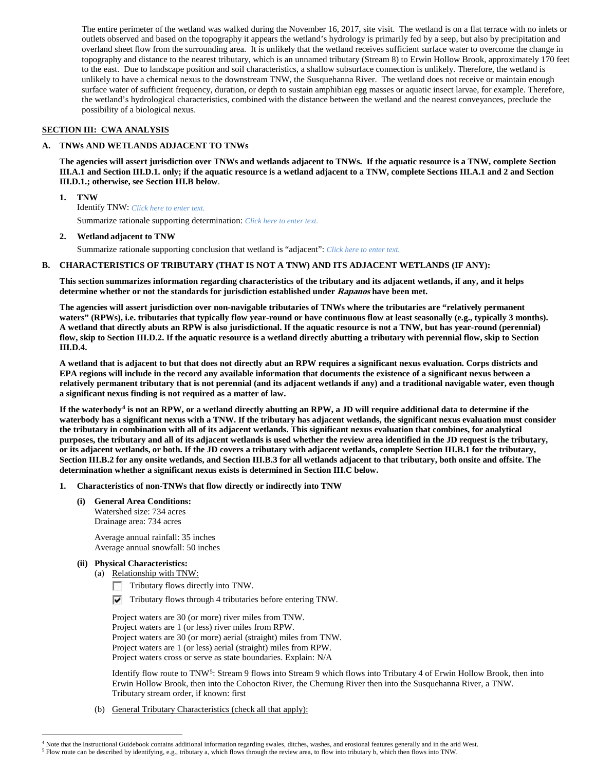The entire perimeter of the wetland was walked during the November 16, 2017, site visit. The wetland is on a flat terrace with no inlets or outlets observed and based on the topography it appears the wetland's hydrology is primarily fed by a seep, but also by precipitation and overland sheet flow from the surrounding area. It is unlikely that the wetland receives sufficient surface water to overcome the change in topography and distance to the nearest tributary, which is an unnamed tributary (Stream 8) to Erwin Hollow Brook, approximately 170 feet to the east. Due to landscape position and soil characteristics, a shallow subsurface connection is unlikely. Therefore, the wetland is unlikely to have a chemical nexus to the downstream TNW, the Susquehanna River. The wetland does not receive or maintain enough surface water of sufficient frequency, duration, or depth to sustain amphibian egg masses or aquatic insect larvae, for example. Therefore, the wetland's hydrological characteristics, combined with the distance between the wetland and the nearest conveyances, preclude the possibility of a biological nexus.

# **SECTION III: CWA ANALYSIS**

## **A. TNWs AND WETLANDS ADJACENT TO TNWs**

**The agencies will assert jurisdiction over TNWs and wetlands adjacent to TNWs. If the aquatic resource is a TNW, complete Section III.A.1 and Section III.D.1. only; if the aquatic resource is a wetland adjacent to a TNW, complete Sections III.A.1 and 2 and Section III.D.1.; otherwise, see Section III.B below**.

- **1. TNW**  Identify TNW: *Click here to enter text.* Summarize rationale supporting determination: *Click here to enter text.*
- **2. Wetland adjacent to TNW**

Summarize rationale supporting conclusion that wetland is "adjacent": *Click here to enter text.*

## **B. CHARACTERISTICS OF TRIBUTARY (THAT IS NOT A TNW) AND ITS ADJACENT WETLANDS (IF ANY):**

**This section summarizes information regarding characteristics of the tributary and its adjacent wetlands, if any, and it helps determine whether or not the standards for jurisdiction established under Rapanos have been met.** 

**The agencies will assert jurisdiction over non-navigable tributaries of TNWs where the tributaries are "relatively permanent waters" (RPWs), i.e. tributaries that typically flow year-round or have continuous flow at least seasonally (e.g., typically 3 months). A wetland that directly abuts an RPW is also jurisdictional. If the aquatic resource is not a TNW, but has year-round (perennial) flow, skip to Section III.D.2. If the aquatic resource is a wetland directly abutting a tributary with perennial flow, skip to Section III.D.4.**

**A wetland that is adjacent to but that does not directly abut an RPW requires a significant nexus evaluation. Corps districts and EPA regions will include in the record any available information that documents the existence of a significant nexus between a relatively permanent tributary that is not perennial (and its adjacent wetlands if any) and a traditional navigable water, even though a significant nexus finding is not required as a matter of law.**

**If the waterbody[4](#page-8-0) is not an RPW, or a wetland directly abutting an RPW, a JD will require additional data to determine if the waterbody has a significant nexus with a TNW. If the tributary has adjacent wetlands, the significant nexus evaluation must consider the tributary in combination with all of its adjacent wetlands. This significant nexus evaluation that combines, for analytical purposes, the tributary and all of its adjacent wetlands is used whether the review area identified in the JD request is the tributary, or its adjacent wetlands, or both. If the JD covers a tributary with adjacent wetlands, complete Section III.B.1 for the tributary, Section III.B.2 for any onsite wetlands, and Section III.B.3 for all wetlands adjacent to that tributary, both onsite and offsite. The determination whether a significant nexus exists is determined in Section III.C below.**

- **1. Characteristics of non-TNWs that flow directly or indirectly into TNW**
	- **(i) General Area Conditions:** Watershed size: 734 acres Drainage area: 734 acres

Average annual rainfall: 35 inches Average annual snowfall: 50 inches

- **(ii) Physical Characteristics:**
	- (a) Relationship with TNW:
		- $\Box$  Tributary flows directly into TNW.
		- $\nabla$  Tributary flows through 4 tributaries before entering TNW.

Project waters are 30 (or more) river miles from TNW. Project waters are 1 (or less) river miles from RPW. Project waters are 30 (or more) aerial (straight) miles from TNW. Project waters are 1 (or less) aerial (straight) miles from RPW. Project waters cross or serve as state boundaries. Explain: N/A

Identify flow route to TNW[5:](#page-8-1) Stream 9 flows into Stream 9 which flows into Tributary 4 of Erwin Hollow Brook, then into Erwin Hollow Brook, then into the Cohocton River, the Chemung River then into the Susquehanna River, a TNW. Tributary stream order, if known: first

(b) General Tributary Characteristics (check all that apply):

 <sup>4</sup> Note that the Instructional Guidebook contains additional information regarding swales, ditches, washes, and erosional features generally and in the arid West.

<span id="page-8-1"></span><span id="page-8-0"></span><sup>5</sup> Flow route can be described by identifying, e.g., tributary a, which flows through the review area, to flow into tributary b, which then flows into TNW.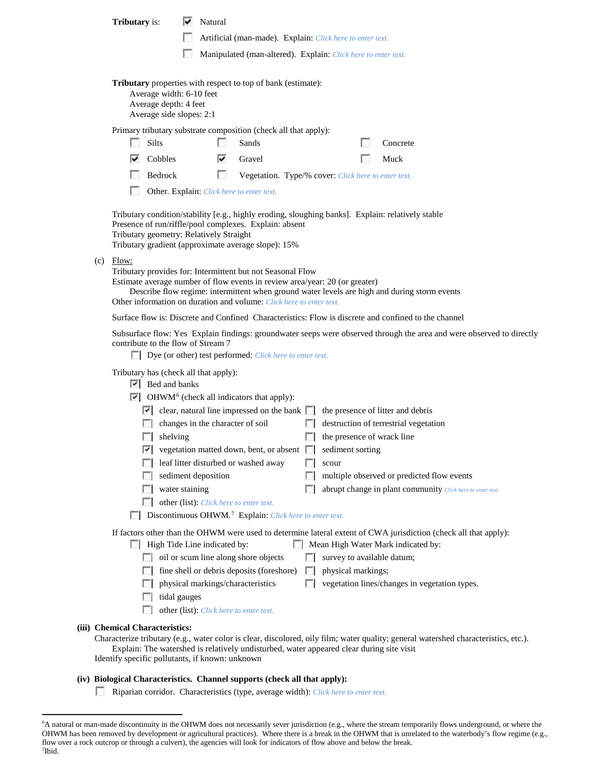|                                                                                                                                 |                                                                                                                                                                                                                                                                                                                                 | <b>Tributary</b> is:                                                                                                                                     |  | Natural                                 |                                                                                                                     |                |                            |  |                                                                                                                                     |
|---------------------------------------------------------------------------------------------------------------------------------|---------------------------------------------------------------------------------------------------------------------------------------------------------------------------------------------------------------------------------------------------------------------------------------------------------------------------------|----------------------------------------------------------------------------------------------------------------------------------------------------------|--|-----------------------------------------|---------------------------------------------------------------------------------------------------------------------|----------------|----------------------------|--|-------------------------------------------------------------------------------------------------------------------------------------|
|                                                                                                                                 |                                                                                                                                                                                                                                                                                                                                 | Artificial (man-made). Explain: Click here to enter text.                                                                                                |  |                                         |                                                                                                                     |                |                            |  |                                                                                                                                     |
|                                                                                                                                 |                                                                                                                                                                                                                                                                                                                                 | Manipulated (man-altered). Explain: Click here to enter text.                                                                                            |  |                                         |                                                                                                                     |                |                            |  |                                                                                                                                     |
|                                                                                                                                 |                                                                                                                                                                                                                                                                                                                                 |                                                                                                                                                          |  |                                         |                                                                                                                     |                |                            |  |                                                                                                                                     |
|                                                                                                                                 |                                                                                                                                                                                                                                                                                                                                 | <b>Tributary</b> properties with respect to top of bank (estimate):<br>Average width: 6-10 feet<br>Average depth: 4 feet<br>Average side slopes: 2:1     |  |                                         |                                                                                                                     |                |                            |  |                                                                                                                                     |
|                                                                                                                                 |                                                                                                                                                                                                                                                                                                                                 | Primary tributary substrate composition (check all that apply):                                                                                          |  |                                         |                                                                                                                     |                |                            |  |                                                                                                                                     |
|                                                                                                                                 |                                                                                                                                                                                                                                                                                                                                 | Silts                                                                                                                                                    |  |                                         | Sands                                                                                                               |                |                            |  | Concrete                                                                                                                            |
|                                                                                                                                 |                                                                                                                                                                                                                                                                                                                                 | Cobbles<br>է                                                                                                                                             |  | ⊽                                       | Gravel                                                                                                              |                |                            |  | Muck                                                                                                                                |
|                                                                                                                                 |                                                                                                                                                                                                                                                                                                                                 | Bedrock                                                                                                                                                  |  | г                                       | Vegetation. Type/% cover: Click here to enter text.                                                                 |                |                            |  |                                                                                                                                     |
|                                                                                                                                 |                                                                                                                                                                                                                                                                                                                                 |                                                                                                                                                          |  |                                         | Other. Explain: Click here to enter text.                                                                           |                |                            |  |                                                                                                                                     |
|                                                                                                                                 |                                                                                                                                                                                                                                                                                                                                 | Presence of run/riffle/pool complexes. Explain: absent<br>Tributary geometry: Relatively Straight<br>Tributary gradient (approximate average slope): 15% |  |                                         |                                                                                                                     |                |                            |  | Tributary condition/stability [e.g., highly eroding, sloughing banks]. Explain: relatively stable                                   |
|                                                                                                                                 | $(c)$ Flow:<br>Tributary provides for: Intermittent but not Seasonal Flow<br>Estimate average number of flow events in review area/year: 20 (or greater)<br>Describe flow regime: intermittent when ground water levels are high and during storm events<br>Other information on duration and volume: Click here to enter text. |                                                                                                                                                          |  |                                         |                                                                                                                     |                |                            |  |                                                                                                                                     |
|                                                                                                                                 |                                                                                                                                                                                                                                                                                                                                 |                                                                                                                                                          |  |                                         |                                                                                                                     |                |                            |  | Surface flow is: Discrete and Confined Characteristics: Flow is discrete and confined to the channel                                |
|                                                                                                                                 | Subsurface flow: Yes Explain findings: groundwater seeps were observed through the area and were observed to directly<br>contribute to the flow of Stream 7<br><b>Dye</b> (or other) test performed: <i>Click here to enter text</i> .                                                                                          |                                                                                                                                                          |  |                                         |                                                                                                                     |                |                            |  |                                                                                                                                     |
|                                                                                                                                 |                                                                                                                                                                                                                                                                                                                                 | Tributary has (check all that apply):<br>$ \nabla $ Bed and banks                                                                                        |  |                                         |                                                                                                                     |                |                            |  |                                                                                                                                     |
|                                                                                                                                 |                                                                                                                                                                                                                                                                                                                                 |                                                                                                                                                          |  |                                         | $\triangleright$ OHWM <sup>6</sup> (check all indicators that apply):                                               |                |                            |  |                                                                                                                                     |
|                                                                                                                                 |                                                                                                                                                                                                                                                                                                                                 |                                                                                                                                                          |  |                                         | $\vert \cdot \vert$ clear, natural line impressed on the bank $\vert \cdot \vert$ the presence of litter and debris |                |                            |  |                                                                                                                                     |
|                                                                                                                                 |                                                                                                                                                                                                                                                                                                                                 |                                                                                                                                                          |  | $\Box$ changes in the character of soil |                                                                                                                     | <b>COLLEGE</b> |                            |  | destruction of terrestrial vegetation                                                                                               |
|                                                                                                                                 |                                                                                                                                                                                                                                                                                                                                 | $\Box$ shelving                                                                                                                                          |  |                                         |                                                                                                                     | <b>1999</b>    | the presence of wrack line |  |                                                                                                                                     |
|                                                                                                                                 |                                                                                                                                                                                                                                                                                                                                 |                                                                                                                                                          |  |                                         | $\triangleright$ vegetation matted down, bent, or absent $\triangleright$ sediment sorting                          |                |                            |  |                                                                                                                                     |
|                                                                                                                                 |                                                                                                                                                                                                                                                                                                                                 |                                                                                                                                                          |  |                                         | eaf litter disturbed or washed away                                                                                 |                | $\Box$ scour               |  |                                                                                                                                     |
|                                                                                                                                 |                                                                                                                                                                                                                                                                                                                                 | $\mathbf{L}$                                                                                                                                             |  | sediment deposition                     |                                                                                                                     |                |                            |  | multiple observed or predicted flow events                                                                                          |
|                                                                                                                                 |                                                                                                                                                                                                                                                                                                                                 | water staining<br>L.                                                                                                                                     |  |                                         |                                                                                                                     |                |                            |  | abrupt change in plant community Click here to enter text.                                                                          |
| other (list): Click here to enter text.<br>$\sim$<br><b>Discontinuous OHWM.</b> <sup>7</sup> Explain: Click here to enter text. |                                                                                                                                                                                                                                                                                                                                 |                                                                                                                                                          |  |                                         |                                                                                                                     |                |                            |  |                                                                                                                                     |
|                                                                                                                                 |                                                                                                                                                                                                                                                                                                                                 |                                                                                                                                                          |  |                                         |                                                                                                                     |                |                            |  |                                                                                                                                     |
|                                                                                                                                 | If factors other than the OHWM were used to determine lateral extent of CWA jurisdiction (check all that apply):<br>$\Box$ High Tide Line indicated by:<br>Mean High Water Mark indicated by:                                                                                                                                   |                                                                                                                                                          |  |                                         |                                                                                                                     |                |                            |  |                                                                                                                                     |
|                                                                                                                                 |                                                                                                                                                                                                                                                                                                                                 |                                                                                                                                                          |  |                                         | oil or scum line along shore objects                                                                                |                | survey to available datum; |  |                                                                                                                                     |
|                                                                                                                                 |                                                                                                                                                                                                                                                                                                                                 |                                                                                                                                                          |  |                                         | fine shell or debris deposits (foreshore)                                                                           |                | $\Box$ physical markings;  |  |                                                                                                                                     |
|                                                                                                                                 |                                                                                                                                                                                                                                                                                                                                 |                                                                                                                                                          |  |                                         | physical markings/characteristics                                                                                   |                |                            |  | vegetation lines/changes in vegetation types.                                                                                       |
|                                                                                                                                 |                                                                                                                                                                                                                                                                                                                                 | tidal gauges                                                                                                                                             |  |                                         |                                                                                                                     |                |                            |  |                                                                                                                                     |
|                                                                                                                                 |                                                                                                                                                                                                                                                                                                                                 |                                                                                                                                                          |  |                                         | other (list): Click here to enter text.                                                                             |                |                            |  |                                                                                                                                     |
|                                                                                                                                 |                                                                                                                                                                                                                                                                                                                                 | (iii) Chemical Characteristics:                                                                                                                          |  |                                         |                                                                                                                     |                |                            |  |                                                                                                                                     |
|                                                                                                                                 |                                                                                                                                                                                                                                                                                                                                 | Explain: The watershed is relatively undisturbed, water appeared clear during site visit<br>Identify specific pollutants, if known: unknown              |  |                                         |                                                                                                                     |                |                            |  | Characterize tributary (e.g., water color is clear, discolored, oily film; water quality; general watershed characteristics, etc.). |

 **(iv) Biological Characteristics. Channel supports (check all that apply):**

Riparian corridor. Characteristics (type, average width): *Click here to enter text.*

<span id="page-9-1"></span><span id="page-9-0"></span> <sup>6</sup> <sup>6</sup>A natural or man-made discontinuity in the OHWM does not necessarily sever jurisdiction (e.g., where the stream temporarily flows underground, or where the OHWM has been removed by development or agricultural practices). Where there is a break in the OHWM that is unrelated to the waterbody's flow regime (e.g., flow over a rock outcrop or through a culvert), the agencies will look for indicators of flow above and below the break. 7 Ibid.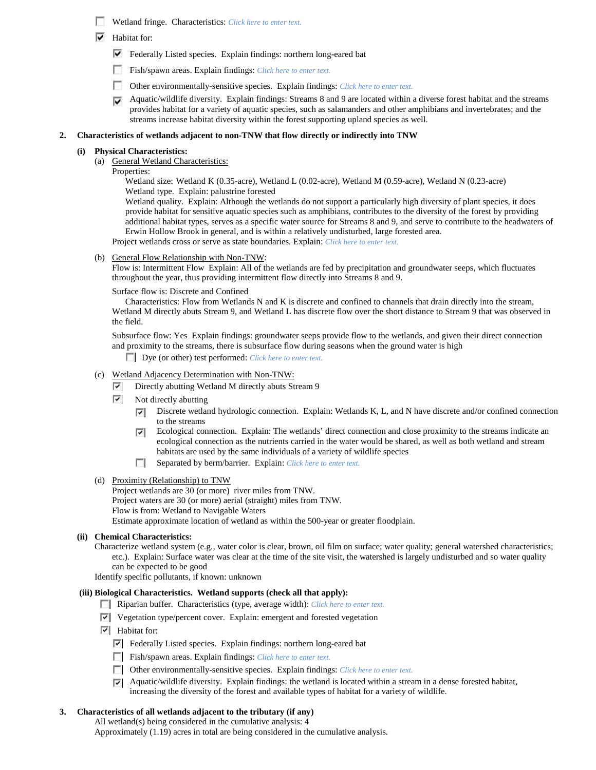- Wetland fringe. Characteristics: *Click here to enter text.*
- $\blacktriangleright$  Habitat for:
	- Federally Listed species. Explain findings: northern long-eared bat
	- Fish/spawn areas. Explain findings: *Click here to enter text.*
	- $\mathcal{L}$ Other environmentally-sensitive species. Explain findings: *Click here to enter text.*
	- $\blacktriangleright$  Aquatic/wildlife diversity. Explain findings: Streams 8 and 9 are located within a diverse forest habitat and the streams provides habitat for a variety of aquatic species, such as salamanders and other amphibians and invertebrates; and the streams increase habitat diversity within the forest supporting upland species as well.

#### **2. Characteristics of wetlands adjacent to non-TNW that flow directly or indirectly into TNW**

### **(i) Physical Characteristics:**

- (a) General Wetland Characteristics:
	- Properties:

Wetland size: Wetland K (0.35-acre), Wetland L (0.02-acre), Wetland M (0.59-acre), Wetland N (0.23-acre) Wetland type. Explain: palustrine forested

Wetland quality. Explain: Although the wetlands do not support a particularly high diversity of plant species, it does provide habitat for sensitive aquatic species such as amphibians, contributes to the diversity of the forest by providing additional habitat types, serves as a specific water source for Streams 8 and 9, and serve to contribute to the headwaters of Erwin Hollow Brook in general, and is within a relatively undisturbed, large forested area.

Project wetlands cross or serve as state boundaries. Explain: *Click here to enter text.*

(b) General Flow Relationship with Non-TNW:

Flow is: Intermittent Flow Explain: All of the wetlands are fed by precipitation and groundwater seeps, which fluctuates throughout the year, thus providing intermittent flow directly into Streams 8 and 9.

Surface flow is: Discrete and Confined

Characteristics: Flow from Wetlands N and K is discrete and confined to channels that drain directly into the stream, Wetland M directly abuts Stream 9, and Wetland L has discrete flow over the short distance to Stream 9 that was observed in the field.

Subsurface flow: Yes Explain findings: groundwater seeps provide flow to the wetlands, and given their direct connection and proximity to the streams, there is subsurface flow during seasons when the ground water is high

Dye (or other) test performed: *Click here to enter text.*

## (c) Wetland Adjacency Determination with Non-TNW:

- ☞ Directly abutting Wetland M directly abuts Stream 9
- $\overline{\phantom{a}}$ Not directly abutting
	- Discrete wetland hydrologic connection. Explain: Wetlands K, L, and N have discrete and/or confined connection ⊽ to the streams
	- Ecological connection. Explain: The wetlands' direct connection and close proximity to the streams indicate an ⊽ ecological connection as the nutrients carried in the water would be shared, as well as both wetland and stream habitats are used by the same individuals of a variety of wildlife species
	- $\mathcal{L}$ Separated by berm/barrier. Explain: *Click here to enter text.*
- (d) Proximity (Relationship) to TNW

Project wetlands are 30 (or more) river miles from TNW. Project waters are 30 (or more) aerial (straight) miles from TNW. Flow is from: Wetland to Navigable Waters Estimate approximate location of wetland as within the 500-year or greater floodplain.

### **(ii) Chemical Characteristics:**

Characterize wetland system (e.g., water color is clear, brown, oil film on surface; water quality; general watershed characteristics; etc.). Explain: Surface water was clear at the time of the site visit, the watershed is largely undisturbed and so water quality can be expected to be good

Identify specific pollutants, if known: unknown

### **(iii) Biological Characteristics. Wetland supports (check all that apply):**

- Riparian buffer. Characteristics (type, average width): *Click here to enter text.*
- Vegetation type/percent cover. Explain: emergent and forested vegetation
- $\boxed{\checkmark}$  Habitat for:
	- Federally Listed species. Explain findings: northern long-eared bat
	- Fish/spawn areas. Explain findings: *Click here to enter text.*
	- Other environmentally-sensitive species. Explain findings: *Click here to enter text.*
	- $\nabla$  Aquatic/wildlife diversity. Explain findings: the wetland is located within a stream in a dense forested habitat, increasing the diversity of the forest and available types of habitat for a variety of wildlife.

### **3. Characteristics of all wetlands adjacent to the tributary (if any)**

All wetland(s) being considered in the cumulative analysis: 4 Approximately (1.19) acres in total are being considered in the cumulative analysis.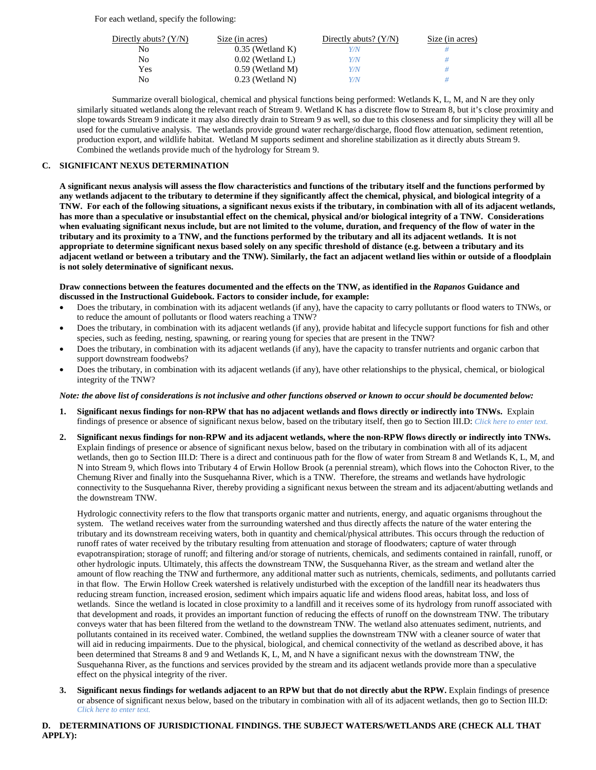For each wetland, specify the following:

| Directly abuts? $(Y/N)$ | Size (in acres)    | Directly abuts? $(Y/N)$ | Size (in acres) |
|-------------------------|--------------------|-------------------------|-----------------|
| No                      | $0.35$ (Wetland K) | Y/N                     |                 |
| No.                     | $0.02$ (Wetland L) | Y/N                     |                 |
| Yes                     | $0.59$ (Wetland M) | Y/N                     | #               |
| No                      | $0.23$ (Wetland N) | Y/N                     |                 |

Summarize overall biological, chemical and physical functions being performed: Wetlands K, L, M, and N are they only similarly situated wetlands along the relevant reach of Stream 9. Wetland K has a discrete flow to Stream 8, but it's close proximity and slope towards Stream 9 indicate it may also directly drain to Stream 9 as well, so due to this closeness and for simplicity they will all be used for the cumulative analysis. The wetlands provide ground water recharge/discharge, flood flow attenuation, sediment retention, production export, and wildlife habitat. Wetland M supports sediment and shoreline stabilization as it directly abuts Stream 9. Combined the wetlands provide much of the hydrology for Stream 9.

## **C. SIGNIFICANT NEXUS DETERMINATION**

**A significant nexus analysis will assess the flow characteristics and functions of the tributary itself and the functions performed by any wetlands adjacent to the tributary to determine if they significantly affect the chemical, physical, and biological integrity of a TNW. For each of the following situations, a significant nexus exists if the tributary, in combination with all of its adjacent wetlands, has more than a speculative or insubstantial effect on the chemical, physical and/or biological integrity of a TNW. Considerations when evaluating significant nexus include, but are not limited to the volume, duration, and frequency of the flow of water in the tributary and its proximity to a TNW, and the functions performed by the tributary and all its adjacent wetlands. It is not appropriate to determine significant nexus based solely on any specific threshold of distance (e.g. between a tributary and its adjacent wetland or between a tributary and the TNW). Similarly, the fact an adjacent wetland lies within or outside of a floodplain is not solely determinative of significant nexus.** 

# **Draw connections between the features documented and the effects on the TNW, as identified in the** *Rapanos* **Guidance and discussed in the Instructional Guidebook. Factors to consider include, for example:**

- Does the tributary, in combination with its adjacent wetlands (if any), have the capacity to carry pollutants or flood waters to TNWs, or to reduce the amount of pollutants or flood waters reaching a TNW?
- Does the tributary, in combination with its adjacent wetlands (if any), provide habitat and lifecycle support functions for fish and other species, such as feeding, nesting, spawning, or rearing young for species that are present in the TNW?
- Does the tributary, in combination with its adjacent wetlands (if any), have the capacity to transfer nutrients and organic carbon that support downstream foodwebs?
- Does the tributary, in combination with its adjacent wetlands (if any), have other relationships to the physical, chemical, or biological integrity of the TNW?

# *Note: the above list of considerations is not inclusive and other functions observed or known to occur should be documented below:*

- **1. Significant nexus findings for non-RPW that has no adjacent wetlands and flows directly or indirectly into TNWs.** Explain findings of presence or absence of significant nexus below, based on the tributary itself, then go to Section III.D: *Click here to enter text.*
- **2. Significant nexus findings for non-RPW and its adjacent wetlands, where the non-RPW flows directly or indirectly into TNWs.**  Explain findings of presence or absence of significant nexus below, based on the tributary in combination with all of its adjacent wetlands, then go to Section III.D: There is a direct and continuous path for the flow of water from Stream 8 and Wetlands K, L, M, and N into Stream 9, which flows into Tributary 4 of Erwin Hollow Brook (a perennial stream), which flows into the Cohocton River, to the Chemung River and finally into the Susquehanna River, which is a TNW. Therefore, the streams and wetlands have hydrologic connectivity to the Susquehanna River, thereby providing a significant nexus between the stream and its adjacent/abutting wetlands and the downstream TNW.

Hydrologic connectivity refers to the flow that transports organic matter and nutrients, energy, and aquatic organisms throughout the system. The wetland receives water from the surrounding watershed and thus directly affects the nature of the water entering the tributary and its downstream receiving waters, both in quantity and chemical/physical attributes. This occurs through the reduction of runoff rates of water received by the tributary resulting from attenuation and storage of floodwaters; capture of water through evapotranspiration; storage of runoff; and filtering and/or storage of nutrients, chemicals, and sediments contained in rainfall, runoff, or other hydrologic inputs. Ultimately, this affects the downstream TNW, the Susquehanna River, as the stream and wetland alter the amount of flow reaching the TNW and furthermore, any additional matter such as nutrients, chemicals, sediments, and pollutants carried in that flow. The Erwin Hollow Creek watershed is relatively undisturbed with the exception of the landfill near its headwaters thus reducing stream function, increased erosion, sediment which impairs aquatic life and widens flood areas, habitat loss, and loss of wetlands. Since the wetland is located in close proximity to a landfill and it receives some of its hydrology from runoff associated with that development and roads, it provides an important function of reducing the effects of runoff on the downstream TNW. The tributary conveys water that has been filtered from the wetland to the downstream TNW. The wetland also attenuates sediment, nutrients, and pollutants contained in its received water. Combined, the wetland supplies the downstream TNW with a cleaner source of water that will aid in reducing impairments. Due to the physical, biological, and chemical connectivity of the wetland as described above, it has been determined that Streams 8 and 9 and Wetlands K, L, M, and N have a significant nexus with the downstream TNW, the Susquehanna River, as the functions and services provided by the stream and its adjacent wetlands provide more than a speculative effect on the physical integrity of the river.

**3. Significant nexus findings for wetlands adjacent to an RPW but that do not directly abut the RPW.** Explain findings of presence or absence of significant nexus below, based on the tributary in combination with all of its adjacent wetlands, then go to Section III.D: *Click here to enter text.*

# **D. DETERMINATIONS OF JURISDICTIONAL FINDINGS. THE SUBJECT WATERS/WETLANDS ARE (CHECK ALL THAT APPLY):**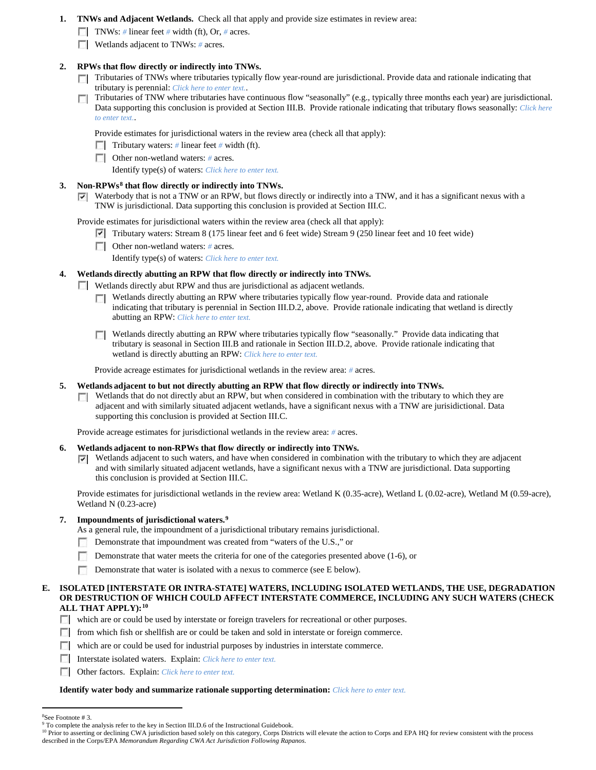- **1. TNWs and Adjacent Wetlands.** Check all that apply and provide size estimates in review area:
	- TNWs: *#* linear feet *#* width (ft), Or, *#* acres.
	- **Wetlands adjacent to TNWs:** # acres.

# **2. RPWs that flow directly or indirectly into TNWs.**

- Tributaries of TNWs where tributaries typically flow year-round are jurisdictional. Provide data and rationale indicating that tributary is perennial: *Click here to enter text.*.
- $\Box$  Tributaries of TNW where tributaries have continuous flow "seasonally" (e.g., typically three months each year) are jurisdictional. Data supporting this conclusion is provided at Section III.B. Provide rationale indicating that tributary flows seasonally: *Click here to enter text.*.

Provide estimates for jurisdictional waters in the review area (check all that apply):

Tributary waters: # linear feet # width (ft).

Other non-wetland waters: *#* acres.

Identify type(s) of waters: *Click here to enter text.*

- **3. Non-RPWs[8](#page-12-0) that flow directly or indirectly into TNWs.**
	- Waterbody that is not a TNW or an RPW, but flows directly or indirectly into a TNW, and it has a significant nexus with a TNW is jurisdictional. Data supporting this conclusion is provided at Section III.C.

Provide estimates for jurisdictional waters within the review area (check all that apply):

- Tributary waters: Stream 8 (175 linear feet and 6 feet wide) Stream 9 (250 linear feet and 10 feet wide)
- Other non-wetland waters: *#* acres.

Identify type(s) of waters: *Click here to enter text.*

# **4. Wetlands directly abutting an RPW that flow directly or indirectly into TNWs.**

Wetlands directly abut RPW and thus are jurisdictional as adjacent wetlands.

- Wetlands directly abutting an RPW where tributaries typically flow year-round. Provide data and rationale  $\sim$ indicating that tributary is perennial in Section III.D.2, above. Provide rationale indicating that wetland is directly abutting an RPW: *Click here to enter text.*
- Wetlands directly abutting an RPW where tributaries typically flow "seasonally." Provide data indicating that tributary is seasonal in Section III.B and rationale in Section III.D.2, above. Provide rationale indicating that wetland is directly abutting an RPW: *Click here to enter text.*

Provide acreage estimates for jurisdictional wetlands in the review area: *#* acres.

- **5. Wetlands adjacent to but not directly abutting an RPW that flow directly or indirectly into TNWs.**
	- $\Box$  Wetlands that do not directly abut an RPW, but when considered in combination with the tributary to which they are adjacent and with similarly situated adjacent wetlands, have a significant nexus with a TNW are jurisidictional. Data supporting this conclusion is provided at Section III.C.

Provide acreage estimates for jurisdictional wetlands in the review area: *#* acres.

- **6. Wetlands adjacent to non-RPWs that flow directly or indirectly into TNWs.** 
	- $\triangledown$  Wetlands adjacent to such waters, and have when considered in combination with the tributary to which they are adjacent and with similarly situated adjacent wetlands, have a significant nexus with a TNW are jurisdictional. Data supporting this conclusion is provided at Section III.C.

Provide estimates for jurisdictional wetlands in the review area: Wetland K (0.35-acre), Wetland L (0.02-acre), Wetland M (0.59-acre), Wetland N (0.23-acre)

# **7. Impoundments of jurisdictional waters. [9](#page-12-1)**

As a general rule, the impoundment of a jurisdictional tributary remains jurisdictional.

- **Demonstrate that impoundment was created from "waters of the U.S.," or**
- Demonstrate that water meets the criteria for one of the categories presented above (1-6), or
- m. Demonstrate that water is isolated with a nexus to commerce (see E below).

# **E. ISOLATED [INTERSTATE OR INTRA-STATE] WATERS, INCLUDING ISOLATED WETLANDS, THE USE, DEGRADATION OR DESTRUCTION OF WHICH COULD AFFECT INTERSTATE COMMERCE, INCLUDING ANY SUCH WATERS (CHECK ALL THAT APPLY):[10](#page-12-2)**

which are or could be used by interstate or foreign travelers for recreational or other purposes.

- $\Box$  from which fish or shellfish are or could be taken and sold in interstate or foreign commerce.
- which are or could be used for industrial purposes by industries in interstate commerce.
- Interstate isolated waters.Explain: *Click here to enter text.*
- Other factors.Explain: *Click here to enter text.*

### **Identify water body and summarize rationale supporting determination:** *Click here to enter text.*

 $\frac{1}{8}$ See Footnote # 3.

<span id="page-12-1"></span><span id="page-12-0"></span><sup>&</sup>lt;sup>9</sup> To complete the analysis refer to the key in Section III.D.6 of the Instructional Guidebook.

<span id="page-12-2"></span><sup>&</sup>lt;sup>10</sup> Prior to asserting or declining CWA jurisdiction based solely on this category, Corps Districts will elevate the action to Corps and EPA HQ for review consistent with the process described in the Corps/EPA *Memorandum Regarding CWA Act Jurisdiction Following Rapanos.*